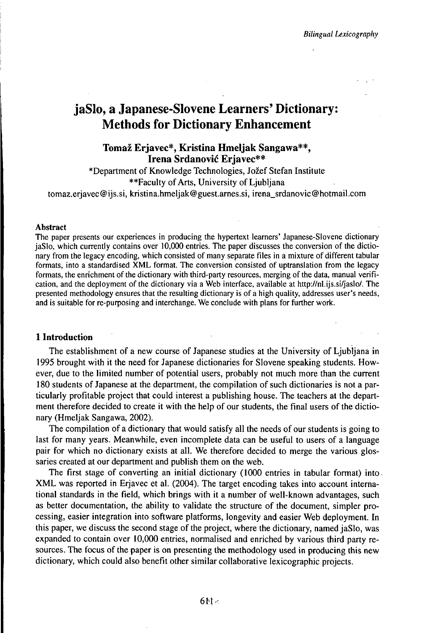# jaSlo, a Japanese-Slovene Learners' Dictionary: Methods for Dictionary Enhancement

# **Tomaž Erjavec\*, Kristina Hmeljak Sangawa\*\*, Irena Srdanović Erjavec\*\***

\*Department of Knowledge Technologies, Jožef Stefan Institute \*\*Faculty of Arts, University of Ljubljana tomaz.erjavec@ijs.si, kristina.hmeljak@guest.arnes.si, irena\_srdanovic@hotmail.com

#### Abstract

The paper presents our experiences in producing the hypertext learners' Japanese-Slovene dictionary jaSlo, which currently contains over 10,000 entries. The paper discusses the conversion of the dictionary from the legacy encoding, which consisted of many separate files in a mixture of different tabular formats, into a standardised XML format. The conversion consisted of uptranslation from the legacy formats, the enrichment of the dictionary with third-party resources, merging of the data, manual verification, and the deployment of the dictionary via a Web interface, available at http://nl.ijs.si/jaslo/. The presented methodology ensures that the resulting dictionary is of a high quality, addresses user's needs, and is suitable for re-purposing and interchange. We conclude with plans for further work.

#### **1 Introduction**

The establishment of a new course of Japanese studies at the University of Ljubljana in 1995 brought with it the need for Japanese dictionaries for Slovene speaking students. However, due to the limited number of potential users, probably not much more than the current 180 students of Japanese at the department, the compilation of such dictionaries is not a particularly profitable project that could interest a publishing house. The teachers at the department therefore decided to create it with the help of our students, the final users of the dictionary (Hmeljak Sangawa, 2002).

The compilation of a dictionary that would satisfy all the needs of our students is going to last for many years. Meanwhile, even incomplete data can be useful to users of a language pair for which no dictionary exists at all. We therefore decided to merge the various glossaries created at our department and publish them on the web.

The first stage of converting an initial dictionary (1000 entries in tabular format) into XML was reported in Erjavec et al. (2004). The target encoding takes into account international standards in the field, which brings with it a number of well-known advantages, such as better documentation, the ability to validate the structure of the document, simpler processing, easier integration into software platforms, longevity and easier Web deployment. In this paper, we discuss the second stage of the project, where the dictionary, named jaSlo, was expanded to contain over 10,000 entries, normalised and enriched by various third party resources. The focus of the paper is on presenting the methodology used in producing this new dictionary, which could also benefit other similar collaborative lexicographic projects.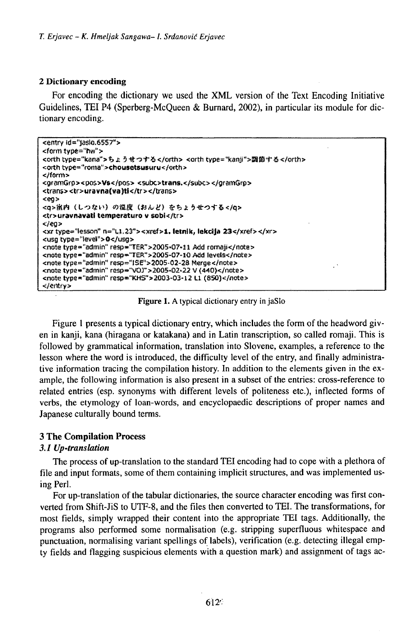#### 2 Dictionary encoding

For encoding the dictionary we used the XML version of the Text Encoding Initiative Guidelines, TEI P4 (Sperberg-McQueen & Burnard, 2002), in particular its module for dictionary encoding.

```
<entry (d="jaslo.6557">
<form type="hw">
<orth type="kana">ちょうせつする</orth> <orth type="kanji">調節する</orth>
<orth type="roma">chousetsusuru</orth>
</form>
<gramGro><pos>Vs</pos> <subc>trans.</subc></gramGro>
<trans><tr>uravna(va)ti</tr></trans>
<ea>
<g>熊内 (しつない) の鑑度 (おんど) をちょうせつする</g>
<tr>uravnavati temperaturo v sobi</tr>
\lt/ea>
<xr type="lesson" n="L1.23"><xref>1. letnik, lekcija 23</xref></xr>
<usg type="level">0</usg>
<note type="admin" resp="TER">2005-07-11 Add romaii</note>
<note type="admin" resp="TER">2005-07-10 Add levels</note>
<note type="admin" resp="ISE">2005-02-28 Merge</note>
<note type="admin" resp="VOJ">2005-02-22 V (440)</note>
<note type = "admin" resp = "KHS" > 2003-03-12 L1 (850)</note>
</entry>
```
Figure 1. A typical dictionary entry in jaSlo

Figure 1 presents a typical dictionary entry, which includes the form of the headword given in kanji, kana (hiragana or katakana) and in Latin transcription, so called romaji. This is followed by grammatical information, translation into Slovene, examples, a reference to the lesson where the word is introduced, the difficulty level of the entry, and finally administrative information tracing the compilation history. In addition to the elements given in the example, the following information is also present in a subset of the entries: cross-reference to related entries (esp. synonyms with different levels of politeness etc.), inflected forms of verbs, the etymology of loan-words, and encyclopaedic descriptions of proper names and Japanese culturally bound terms.

# **3 The Compilation Process**

# 3.1 Up-translation

The process of up-translation to the standard TEI encoding had to cope with a plethora of file and input formats, some of them containing implicit structures, and was implemented using Perl.

For up-translation of the tabular dictionaries, the source character encoding was first converted from Shift-JiS to UTF-8, and the files then converted to TEI. The transformations, for most fields, simply wrapped their content into the appropriate TEI tags. Additionally, the programs also performed some normalisation (e.g. stripping superfluous whitespace and punctuation, normalising variant spellings of labels), verification (e.g. detecting illegal empty fields and flagging suspicious elements with a question mark) and assignment of tags ac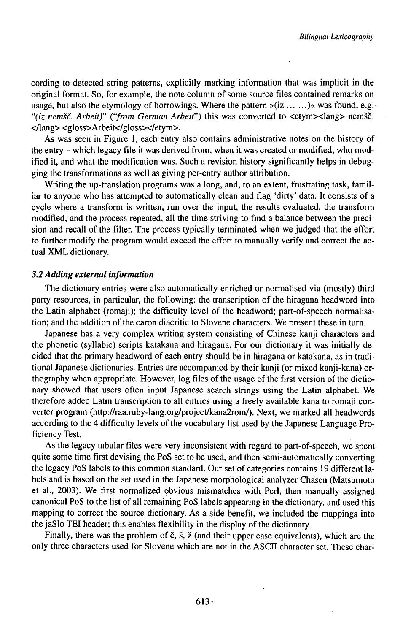cording to detected string patterns, explicitly marking information that was implicit in the original format. So, for example, the note column of some source files contained remarks on usage, but also the etymology of borrowings. Where the pattern »(iz  $\dots \dots)$  was found, e.g. *"(iz nemšč. Arbeit)" ("from German Arbeit")* this was converted to <etym><lang> nemšč. <yiang><gloss>Arbeit</gloss></etym>.

As was seen in Figure 1, each entry also contains administrative notes on the history of the entry - which legacy file it was derived from, when it was created or modified, who modified it, and what the modification was. Such a revision history significantly helps in debugging the transformations as well as giving per-entry author attribution.

Writing the up-translation programs was a long, and, to an extent, frustrating task, familiar to anyone who has attempted to automatically clean and flag 'dirty' data. It consists of a cycle where a transform is written, run over the input, the results evaluated, the transform modified, and the process repeated, all the time striving to find a balance between the precision and recall of the filter. The process typically terminated when we judged that the effort to further modify the program would exceed the effort to manually verify and correct the actual XML dictionary.

#### *3.2 Adding external information*

The dictionary entries were also automatically enriched or normalised via (mostly) third party resources, in particular, the following: the transcription of the hiragana headword into the Latin alphabet (romaji); the difficulty level of the headword; part-of-speech normalisation; and the addition of the caron diacritic to Slovene characters. We present these in turn.

Japanese has a very complex writing system consisting of Chinese kanji characters and the phonetic (syllabic) scripts katakana and hiragana. For our dictionary it was initially decided that the primary headword of each entry should be in hiragana or katakana, as in traditional Japanese dictionaries. Entries are accompanied by their kanji (or mixed kanji-kana) orthography when appropriate. However, log files of the usage of the first version of the dictionary showed that users often input Japanese search strings using the Latin alphabet. We therefore added Latin transcription to all entries using a freely available kana to romaji converter program (http://raa.ruby-lang.org/project/kana2rom/). Next, we marked all headwords according to the 4 difficulty levels of the vocabulary list used by the Japanese Language Proficiency Test.

As the legacy tabular files were very inconsistent with regard to part-of-speech, we spent quite some time first devising the PoS set to be used, and then semi-automatically converting the legacy PoS labels to this common standard. Our set of categories contains 19 different labels and is based on the set used in the Japanese morphological analyzer Chasen (Matsumoto et al., 2003). We first normalized obvious mismatches with Perl, then manually assigned canonical PoS to the list of all remaining PoS labels appearing in the dictionary, and used this mapping to correct the source dictionary. As a side benefit, we included the mappings into the jaSlo TEI header; this enables flexibility in the display of the dictionary.

Finally, there was the problem of č, š, ž (and their upper case equivalents), which are the only three characters used for Slovene which are not in the ASCII character set. These char-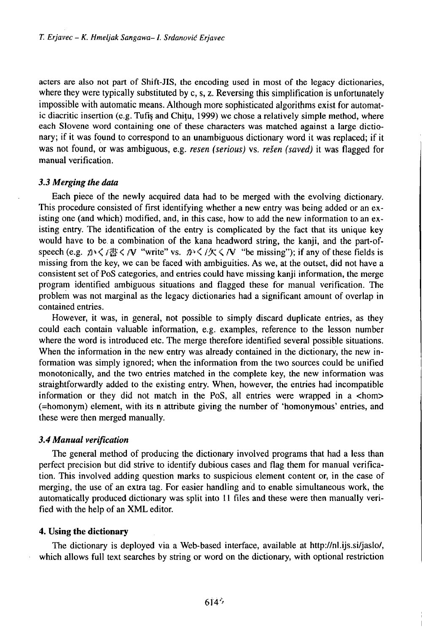acters are also not part of Shift-JIS, the encoding used in most of the legacy dictionaries, where they were typically substituted by c, s, z. Reversing this simplification is unfortunately impossible with automatic means. Although more sophisticated algorithms exist for automatic diacritic insertion (e.g. Tufis and Chitu, 1999) we chose a relatively simple method, where each Slovene word containing one of these characters was matched against a large dictionary; if it was found to correspond to an unambiguous dictionary word it was replaced; if it was not found, or was ambiguous, e.g. *resen (serious)* vs. *rešen (saved)* it was flagged for manual verification.

# *3.3 Merging the data*

Each piece of the newly acquired data had to be merged with the evolving dictionary. This procedure consisted of first identifying whether a new entry was being added or an existing one (and which) modified, and, in this case, how to add the new information to an existing entry. The identification of the entry is complicated by the fact that its unique key would have to be a combination of the kana headword string, the kanji, and the part-ofspeech (e.g.  $\mathcal{D} \setminus \{ \mathcal{B} \leq \mathcal{N} \}$  "write" vs.  $\mathcal{D} \setminus \{ \mathcal{K} \leq \mathcal{N} \}$  "be missing"); if any of these fields is missing from the key, we can be faced with ambiguities. As we, at the outset, did not have a consistent set of PoS categories, and entries could have missing kanji information, the merge program identified ambiguous situations and flagged these for manual verification. The problem was not marginal as the legacy dictionaries had a significant amount of overlap in contained entries.

However, it was, in general, not possible to simply discard duplicate entries, as they could each contain valuable information, e.g. examples, reference to the lesson number where the word is introduced etc. The merge therefore identified several possible situations. When the information in the new entry was already contained in the dictionary, the new information was simply ignored; when the information from the two sources could be unified monotonically, and the two entries matched in the complete key, the new information was straightforwardly added to the existing entry. When, however, the entries had incompatible information or they did not match in the PoS, all entries were wrapped in a  $\lt$ hom $gt$ (=homonym) element, with its n attribute giving the number of 'homonymous' entries, and these were then merged manually.

# *3.4 Manual verification*

The general method of producing the dictionary involved programs that had a less than perfect precision but did strive to identify dubious cases and flag them for manual verification. This involved adding question marks to suspicious element content or, in the case of merging, the use of an extra tag. For easier handling and to enable simultaneous work, the automatically produced dictionary was split into 11 files and these were then manually verified with the help of an XML editor.

#### **4. Using the dictionary**

The dictionary is deployed via a Web-based interface, available at http://nl.ijs.si/jaslo/, which allows full text searches by string or word on the dictionary, with optional restriction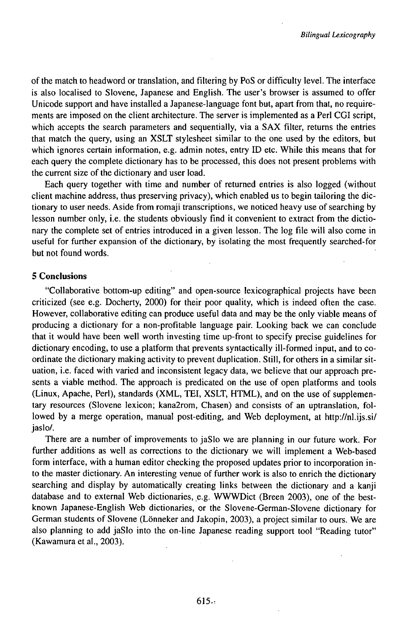of the match to headword or translation, and filtering by PoS or difficulty level. The interface is also localised to Slovene, Japanese and English. The user's browser is assumed to offer Unicode support and have installed a Japanese-language font but, apart from that, no requirements are imposed on the client architecture. The server is implemented as a Perl CGI script, which accepts the search parameters and sequentially, via a SAX filter, returns the entries that match the query, using an XSLT stylesheet similar to the one used by the editors, but which ignores certain information, e.g. admin notes, entry ID etc. While this means that for each query the complete dictionary has to be processed, this does not present problems with the current size of the dictionary and user load.

Each query together with time and number of returned entries is also logged (without client machine address, thus preserving privacy), which enabled us to begin tailoring the dictionary to user needs. Aside from romaji transcriptions, we noticed heavy use ofsearching by lesson number only, i.e. the students obviously find it convenient to extract from the dictionary the complete set of entries introduced in a given lesson. The log file will also come in useful for further expansion of the dictionary, by isolating the most frequently searched-for but not found words.

# **5 Conclusions**

"Collaborative bottom-up editing" and open-source lexicographical projects have been criticized (see e.g. Docherty, 2000) for their poor quality, which is indeed often the case. However, collaborative editing can produce useful data and may be the only viable means of producing a dictionary for a non-profitable language pair. Looking back we can conclude that it would have been well worth investing time up-front to specify precise guidelines for dictionary encoding, to use a platform that prevents syntactically ill-formed input, and to coordinate the dictionary making activity to prevent duplication. Still, for others in a similar situation, i.e. faced with varied and inconsistent legacy data, we believe that our approach presents a viable method. The approach is predicated on the use of open platforms and tools (Linux, Apache, Perl), standards (XML, TEI, XSLT, HTML), and on the use of supplementary resources (Slovene lexicon; kana2rom, Chasen) and consists of an uptranslation, followed by a merge operation, manual post-editing, and Web deployment, at http://nl.ijs.si/ jaslo/.

There are a number of improvements to jaSlo we are planning in our future work. For further additions as well as corrections to the dictionary we will implement a Web-based form interface, with a human editor checking the proposed updates prior to incorporation into the master dictionary. An interesting venue of further work is also to enrich the dictionary searching and display by automatically creating links between the dictionary and a kanji database and to external Web dictionaries, e.g. WWWDict (Breen 2003), one of the bestknown Japanese-English Web dictionaries, or the Slovene-German-Slovene dictionary for German students of Slovene (Lönneker and Jakopin, 2003), a project similar to ours. We are also planning to add jaSlo into the on-line Japanese reading support tool "Reading tutor" (Kawamura et al., 2003).